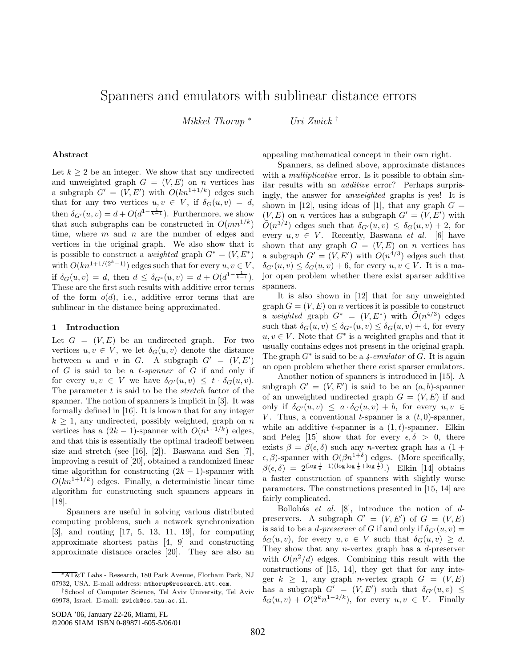# Spanners and emulators with sublinear distance errors

*Mikkel Thorup* <sup>∗</sup> *Uri Zwick* †

#### **Abstract**

Let  $k \geq 2$  be an integer. We show that any undirected and unweighted graph  $G = (V, E)$  on *n* vertices has a subgraph  $G' = (V, E')$  with  $O(kn^{1+1/k})$  edges such that for any two vertices  $u, v \in V$ , if  $\delta_G(u, v) = d$ , then  $\delta_{G'}(u, v) = d + O(d^{1 - \frac{1}{k-1}})$ . Furthermore, we show that such subgraphs can be constructed in  $O(mn^{1/k})$ time, where  $m$  and  $n$  are the number of edges and vertices in the original graph. We also show that it is possible to construct a *weighted* graph  $G^* = (V, E^*)$ with  $O(kn^{1+1/(2^k-1)})$  edges such that for every  $u, v \in V$ , if  $\delta_G(u, v) = d$ , then  $d \leq \delta_{G^*}(u, v) = d + O(d^{1 - \frac{1}{k-1}})$ . These are the first such results with additive error terms of the form  $o(d)$ , i.e., additive error terms that are sublinear in the distance being approximated.

## **1 Introduction**

Let  $G = (V, E)$  be an undirected graph. For two vertices  $u, v \in V$ , we let  $\delta_G(u, v)$  denote the distance between u and v in G. A subgraph  $G' = (V, E')$ of G is said to be a t*-spanner* of G if and only if for every  $u, v \in V$  we have  $\delta_{G'}(u, v) \leq t \cdot \delta_G(u, v)$ . The parameter t is said to be the *stretch* factor of the spanner. The notion of spanners is implicit in [3]. It was formally defined in [16]. It is known that for any integer  $k > 1$ , any undirected, possibly weighted, graph on n vertices has a  $(2k - 1)$ -spanner with  $O(n^{1+1/k})$  edges, and that this is essentially the optimal tradeoff between size and stretch (see [16], [2]). Baswana and Sen [7], improving a result of [20], obtained a randomized linear time algorithm for constructing  $(2k-1)$ -spanner with  $O(kn^{1+1/k})$  edges. Finally, a deterministic linear time algorithm for constructing such spanners appears in [18].

Spanners are useful in solving various distributed computing problems, such a network synchronization [3], and routing [17, 5, 13, 11, 19], for computing approximate shortest paths [4, 9] and constructing approximate distance oracles [20]. They are also an

SODA '06, January 22-26, Miami, FL ©2006 SIAM ISBN 0-89871-605-5/06/01 appealing mathematical concept in their own right.

Spanners, as defined above, approximate distances with a *multiplicative* error. Is it possible to obtain similar results with an *additive* error? Perhaps surprisingly, the answer for *unweighted* graphs is yes! It is shown in [12], using ideas of [1], that any graph  $G =$  $(V, E)$  on *n* vertices has a subgraph  $G' = (V, E')$  with  $\tilde{O}(n^{3/2})$  edges such that  $\delta_{G'}(u,v) \leq \delta_G(u,v) + 2$ , for every  $u, v \in V$ . Recently, Baswana *et al.* [6] have shown that any graph  $G = (V, E)$  on n vertices has a subgraph  $G' = (V, E')$  with  $O(n^{4/3})$  edges such that  $\delta_{G'}(u,v) \leq \delta_G(u,v) + 6$ , for every  $u, v \in V$ . It is a major open problem whether there exist sparser additive spanners.

It is also shown in [12] that for any unweighted graph  $G = (V, E)$  on *n* vertices it is possible to construct a *weighted* graph  $G^* = (V, E^*)$  with  $\tilde{O}(n^{4/3})$  edges such that  $\delta_G(u, v) \leq \delta_{G^*}(u, v) \leq \delta_G(u, v) + 4$ , for every  $u, v \in V$ . Note that  $G^*$  is a weighted graphs and that it usually contains edges not present in the original graph. The graph G<sup>∗</sup> is said to be a *4-emulator* of G. It is again an open problem whether there exist sparser emulators.

Another notion of spanners is introduced in [15]. A subgraph  $G' = (V, E')$  is said to be an  $(a, b)$ -spanner of an unweighted undirected graph  $G = (V, E)$  if and only if  $\delta_{G'}(u,v) \leq a \cdot \delta_G(u,v) + b$ , for every  $u, v \in$ V. Thus, a conventional *t*-spanner is a  $(t, 0)$ -spanner, while an additive *t*-spanner is a  $(1, t)$ -spanner. Elkin and Peleg [15] show that for every  $\epsilon, \delta > 0$ , there exists  $\beta = \beta(\epsilon, \delta)$  such any *n*-vertex graph has a  $(1 + \epsilon)$  $\epsilon, \beta$ )-spanner with  $O(\beta n^{1+\delta})$  edges. (More specifically,  $\beta(\epsilon,\delta) = 2^{(\log \frac{1}{\delta}-1)(\log \log \frac{1}{\delta} + \log \frac{1}{\epsilon})}$ .) Elkin [14] obtains a faster construction of spanners with slightly worse parameters. The constructions presented in [15, 14] are fairly complicated.

Bollobás  $et \ al.$  [8], introduce the notion of  $d$ preservers. A subgraph  $G' = (V, E')$  of  $G = (V, E)$ is said to be a *d-preserver* of G if and only if  $\delta_{G'}(u,v) =$  $\delta_G(u, v)$ , for every  $u, v \in V$  such that  $\delta_G(u, v) \geq d$ . They show that any  $n$ -vertex graph has a  $d$ -preserver with  $O(n^2/d)$  edges. Combining this result with the constructions of [15, 14], they get that for any integer  $k \geq 1$ , any graph *n*-vertex graph  $G = (V, E)$ has a subgraph  $G' = (V, E')$  such that  $\delta_{G'}(u, v) \leq$  $\delta_G(u, v) + O(2^k n^{1-2/k})$ , for every  $u, v \in V$ . Finally

<sup>∗</sup>AT&T Labs - Research, 180 Park Avenue, Florham Park, NJ 07932, USA. E-mail address: mthorup@research.att.com.

<sup>†</sup>School of Computer Science, Tel Aviv University, Tel Aviv 69978, Israel. E-mail: zwick@cs.tau.ac.il.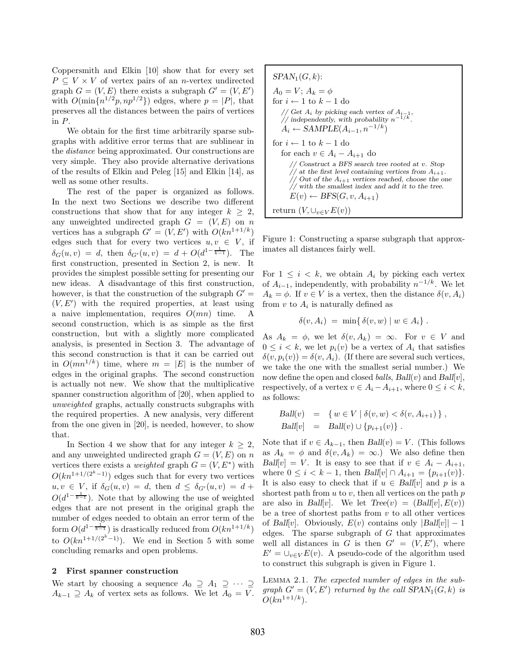Coppersmith and Elkin [10] show that for every set  $P \subseteq V \times V$  of vertex pairs of an *n*-vertex undirected graph  $G = (V, E)$  there exists a subgraph  $G' = (V, E')$ with  $O(\min\{n^{1/2}p, np^{1/2}\})$  edges, where  $p = |P|$ , that preserves all the distances between the pairs of vertices in P.

We obtain for the first time arbitrarily sparse subgraphs with additive error terms that are sublinear in the *distance* being approximated. Our constructions are very simple. They also provide alternative derivations of the results of Elkin and Peleg [15] and Elkin [14], as well as some other results.

The rest of the paper is organized as follows. In the next two Sections we describe two different constructions that show that for any integer  $k \geq 2$ , any unweighted undirected graph  $G = (V, E)$  on n vertices has a subgraph  $G' = (V, E')$  with  $O(kn^{1+1/k})$ edges such that for every two vertices  $u, v \in V$ , if  $\delta_G(u, v) = d$ , then  $\delta_{G'}(u, v) = d + O(d^{1 - \frac{1}{k-1}})$ . The first construction, presented in Section 2, is new. It provides the simplest possible setting for presenting our new ideas. A disadvantage of this first construction, however, is that the construction of the subgraph  $G' =$  $(V, E')$  with the required properties, at least using a naive implementation, requires  $O(mn)$  time. A second construction, which is as simple as the first construction, but with a slightly more complicated analysis, is presented in Section 3. The advantage of this second construction is that it can be carried out in  $O(mn^{1/k})$  time, where  $m = |E|$  is the number of edges in the original graphs. The second construction is actually not new. We show that the multiplicative spanner construction algorithm of [20], when applied to *unweighted* graphs, actually constructs subgraphs with the required properties. A new analysis, very different from the one given in [20], is needed, however, to show that.

In Section 4 we show that for any integer  $k \geq 2$ , and any unweighted undirected graph  $G = (V, E)$  on n vertices there exists a *weighted* graph  $G = (V, E^*)$  with  $O(kn^{1+1/(2^k-1)})$  edges such that for every two vertices  $u, v \in V$ , if  $\delta_G(u, v) = d$ , then  $d \leq \delta_{G'}(u, v) = d +$  $O(d^{1-\frac{1}{k-1}})$ . Note that by allowing the use of weighted edges that are not present in the original graph the number of edges needed to obtain an error term of the form  $O(d^{1-\frac{1}{k-1}})$  is drastically reduced from  $O(kn^{1+1/k})$ to  $O(kn^{1+1/(2^{k'}-1)})$ . We end in Section 5 with some concluding remarks and open problems.

### **2 First spanner construction**

We start by choosing a sequence  $A_0 \supseteq A_1 \supseteq \cdots \supseteq$  $A_{k-1} \supseteq A_k$  of vertex sets as follows. We let  $A_0 = V$ .

$$
SPAN_1(G, k):
$$
  
\n $A_0 = V$ ;  $A_k = \phi$   
\nfor  $i \leftarrow 1$  to  $k - 1$  do  
\n// Get  $A_i$  by picking each vertex of  $A_{i-1}$ ,  
\n// independently, with probability  $n^{-1/k}$ .  
\n $A_i \leftarrow SAMPLE(A_{i-1}, n^{-1/k})$   
\nfor  $i \leftarrow 1$  to  $k - 1$  do  
\nfor each  $v \in A_i - A_{i+1}$  do  
\n// Construct a BFS search tree rooted at v. Stop  
\n// but of the  $A_{i+1}$  vertices reached, choose the one  
\n// with the smallest index and add it to the tree.  
\n $E(v) \leftarrow BFS(G, v, A_{i+1})$   
\nreturn  $(V, \bigcup_{v \in V} E(v))$ 

Figure 1: Constructing a sparse subgraph that approximates all distances fairly well.

For  $1 \leq i \leq k$ , we obtain  $A_i$  by picking each vertex of  $A_{i-1}$ , independently, with probability  $n^{-1/k}$ . We let  $A_k = \phi$ . If  $v \in V$  is a vertex, then the distance  $\delta(v, A_i)$ from v to  $A_i$  is naturally defined as

$$
\delta(v, A_i) = \min\{\,\delta(v, w) \mid w \in A_i\} \, .
$$

As  $A_k = \phi$ , we let  $\delta(v, A_k) = \infty$ . For  $v \in V$  and  $0 \leq i \leq k$ , we let  $p_i(v)$  be a vertex of  $A_i$  that satisfies  $\delta(v, p_i(v)) = \delta(v, A_i)$ . (If there are several such vertices, we take the one with the smallest serial number.) We now define the open and closed *balls*, *Ball*(*v*) and *Ball*[*v*], respectively, of a vertex  $v \in A_i - A_{i+1}$ , where  $0 \leq i \leq k$ , as follows:

$$
Ball(v) = \{ w \in V \mid \delta(v, w) < \delta(v, A_{i+1}) \},
$$
\n
$$
Ball[v] = Ball(v) \cup \{ p_{i+1}(v) \} .
$$

Note that if  $v \in A_{k-1}$ , then  $Ball(v) = V$ . (This follows as  $A_k = \phi$  and  $\delta(v, A_k) = \infty$ . We also define then  $Ball[v] = V$ . It is easy to see that if  $v \in A_i - A_{i+1}$ , where  $0 \le i < k - 1$ , then  $Ball[v] \cap A_{i+1} = \{p_{i+1}(v)\}.$ It is also easy to check that if  $u \in Ball[v]$  and p is a shortest path from  $u$  to  $v$ , then all vertices on the path  $p$ are also in *Ball*[v]. We let  $Tree(v) = (Ball[v], E(v))$ be a tree of shortest paths from  $v$  to all other vertices of *Ball*[v]. Obviously,  $E(v)$  contains only  $|Ball[v]| - 1$ edges. The sparse subgraph of  $G$  that approximates well all distances in G is then  $G' = (V, E')$ , where  $E' = \bigcup_{v \in V} E(v)$ . A pseudo-code of the algorithm used to construct this subgraph is given in Figure 1.

Lemma 2.1. *The expected number of edges in the subgraph*  $G' = (V, E')$  *returned by the call*  $SPAN_1(G, k)$  *is*  $O(\ln^{1+1/k})$  $O(kn^{1+1/k})$ .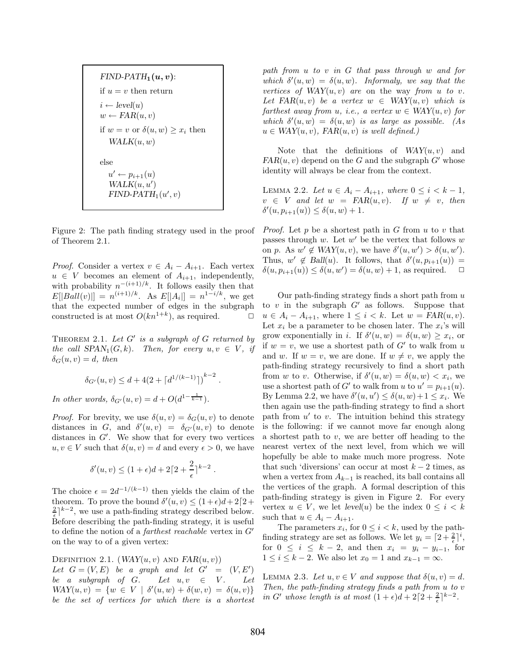*FIND-PATH*<sub>1</sub> $(u, v)$ : if  $u = v$  then return  $i \leftarrow level(u)$  $w \leftarrow FAR(u, v)$ if  $w = v$  or  $\delta(u, w) \geq x_i$  then  $WALK(u, w)$ else  $u' \leftarrow p_{i+1}(u)$ <br>  $W_{i} \cup W_{j} \cup W_{j}$  $WALK(u, u')$  $FIND-PATH<sub>1</sub>(u', v)$ 

Figure 2: The path finding strategy used in the proof of Theorem 2.1.

*Proof.* Consider a vertex  $v \in A_i - A_{i+1}$ . Each vertex  $u \in V$  becomes an element of  $A_{i+1}$ , independently, with probability  $n^{-(i+1)/k}$ . It follows easily then that  $E[|Ball(v)|] = n^{(i+1)/k}$ . As  $E[|A_i|] = n^{1-i/k}$ , we get that the expected number of edges in the subgraph constructed is at most  $O(kn^{1+k})$ , as required.  $\Box$ 

THEOREM 2.1. Let G' is a subgraph of G returned by *the call*  $SPAN_1(G, k)$ *. Then, for every*  $u, v \in V$ *, if*  $\delta_G(u, v) = d$ , then

$$
\delta_{G'}(u, v) \leq d + 4(2 + \lceil d^{1/(k-1)} \rceil)^{k-2}.
$$

*In other words,*  $\delta_{G'}(u, v) = d + O(d^{1 - \frac{1}{k-1}})$ *.* 

*Proof.* For brevity, we use  $\delta(u, v) = \delta_G(u, v)$  to denote distances in G, and  $\delta'(u, v) = \delta_{G'}(u, v)$  to denote distances in  $G'$ . We show that for every two vertices  $u, v \in V$  such that  $\delta(u, v) = d$  and every  $\epsilon > 0$ , we have

$$
\delta'(u,v) \le (1+\epsilon)d + 2\lceil 2 + \frac{2}{\epsilon} \rceil^{k-2}.
$$

The choice  $\epsilon = 2d^{-1/(k-1)}$  then yields the claim of the theorem. To prove the bound  $\delta'(u, v) \leq (1 + \epsilon)d + 2[2 +$  $\frac{2}{\epsilon}$ <sup>2</sup> k<sup>-2</sup>, we use a path-finding strategy described below. Before describing the path-finding strategy, it is useful to define the notion of a *farthest reachable* vertex in G' on the way to of a given vertex:

DEFINITION 2.1.  $(WAY(u, v)$  AND  $FAR(u, v))$ 

Let  $G = (V, E)$  be a graph and let  $G' =$  $' = (V, E')$ *be a subgraph of G. Let*  $u, v \in V$ *. Let*  $WAY(u, v) = \{w \in V \mid \delta'(u, w) + \delta(w, v) = \delta(u, v)\}\$ *be the set of vertices for which there is a shortest*

*path from* u *to* v *in* G *that pass through* w *and for* which  $\delta'(u, w) = \delta(u, w)$ *. Informaly, we say that the vertices of*  $WAY(u, v)$  *are* on the way *from* u to v. *Let*  $FAR(u, v)$  *be a vertex*  $w \in \text{WAY}(u, v)$  *which is farthest away from u, i.e., a vertex*  $w \in \text{WAY}(u, v)$  *for* which  $\delta'(u, w) = \delta(u, w)$  *is as large as possible.* (As  $u \in \text{WAY}(u, v)$ ,  $\text{FAR}(u, v)$  *is well defined.*)

Note that the definitions of  $WAY(u, v)$  and  $FAR(u, v)$  depend on the G and the subgraph  $G'$  whose identity will always be clear from the context.

LEMMA 2.2. *Let*  $u \in A_i - A_{i+1}$ *, where*  $0 \le i < k - 1$ *,*  $v \in V$  and let  $w = \text{FAR}(u, v)$ . If  $w \neq v$ , then  $\delta'(u, p_{i+1}(u)) \leq \delta(u, w) + 1.$ 

*Proof.* Let  $p$  be a shortest path in  $G$  from  $u$  to  $v$  that passes through  $w$ . Let  $w'$  be the vertex that follows  $w$ on p. As  $w' \notin \text{WAY}(u, v)$ , we have  $\delta'(u, w') > \delta(u, w')$ . Thus,  $w' \notin Ball(u)$ . It follows, that  $\delta'(u, p_{i+1}(u)) =$ <br>  $\delta(u, x_{i-1}(u)) \leq \delta(u, u')$ ,  $\delta(u, w) + 1$  as positived  $\delta(u, p_{i+1}(u)) \leq \delta(u, w') = \delta(u, w) + 1$ , as required.  $\Box$ 

Our path-finding strategy finds a short path from  $u$ to  $v$  in the subgraph  $G'$  as follows. Suppose that  $u \in A_i - A_{i+1}$ , where  $1 \leq i \leq k$ . Let  $w = \text{FAR}(u, v)$ . Let  $x_i$  be a parameter to be chosen later. The  $x_i$ 's will grow exponentially in *i*. If  $\delta'(u, w) = \delta(u, w) \geq x_i$ , or if  $w = v$ , we use a shortest path of G' to walk from u and w. If  $w = v$ , we are done. If  $w \neq v$ , we apply the path-finding strategy recursively to find a short path from w to v. Otherwise, if  $\delta'(u, w) = \delta(u, w) < x_i$ , we use a shortest path of G' to walk from u to  $u' = p_{i+1}(u)$ .<br>
Pri I spring 2.2 are hore  $S(u, u') \leq S(u, u) + 1 \leq v$ . By Lemma 2.2, we have  $\delta'(u, u') \leq \delta(u, w) + 1 \leq x_i$ . We then again use the path-finding strategy to find a short path from  $u'$  to  $v$ . The intuition behind this strategy is the following: if we cannot move far enough along a shortest path to  $v$ , we are better off heading to the nearest vertex of the next level, from which we will hopefully be able to make much more progress. Note that such 'diversions' can occur at most  $k - 2$  times, as when a vertex from  $A_{k-1}$  is reached, its ball contains all the vertices of the graph. A formal description of this path-finding strategy is given in Figure 2. For every vertex  $u \in V$ , we let  $level(u)$  be the index  $0 \leq i \leq k$ such that  $u \in A_i - A_{i+1}$ .

The parameters  $x_i$ , for  $0 \leq i \leq k$ , used by the pathfinding strategy are set as follows. We let  $y_i = \lceil 2 + \frac{2}{\epsilon} \rceil^i$ , for  $0 \le i \le k - 2$ , and then  $x_i = y_i - y_{i-1}$ , for  $1 \leq i \leq k-2$ . We also let  $x_0 = 1$  and  $x_{k-1} = \infty$ .

LEMMA 2.3. Let  $u, v \in V$  and suppose that  $\delta(u, v) = d$ . *Then, the path-finding strategy finds a path from* u *to* v *in*  $G'$  whose length is at most  $(1+\epsilon)d + 2[2+\frac{2}{\epsilon}]^{k-2}$ .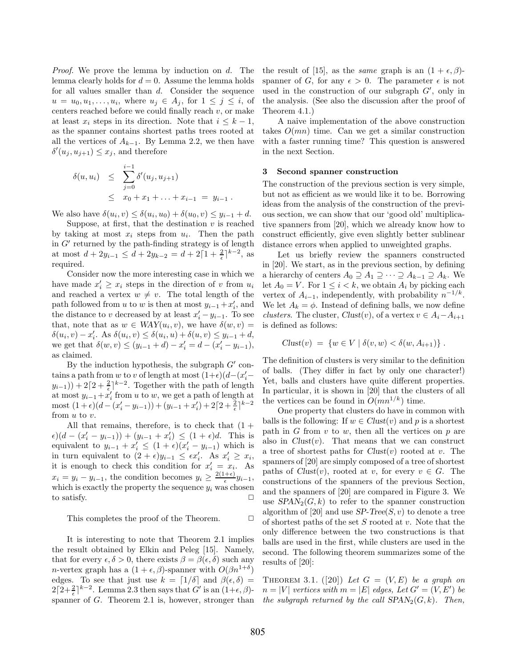*Proof.* We prove the lemma by induction on d. The lemma clearly holds for  $d = 0$ . Assume the lemma holds for all values smaller than d. Consider the sequence  $u = u_0, u_1, \ldots, u_i$ , where  $u_j \in A_j$ , for  $1 \leq j \leq i$ , of centers reached before we could finally reach  $v$ , or make at least  $x_i$  steps in its direction. Note that  $i \leq k-1$ , as the spanner contains shortest paths trees rooted at all the vertices of  $A_{k-1}$ . By Lemma 2.2, we then have  $\delta'(u_j, u_{j+1}) \leq x_j$ , and therefore

$$
\delta(u, u_i) \leq \sum_{j=0}^{i-1} \delta'(u_j, u_{j+1})
$$
  
 
$$
\leq x_0 + x_1 + \ldots + x_{i-1} = y_{i-1}.
$$

We also have  $\delta(u_i, v) \leq \delta(u_i, u_0) + \delta(u_0, v) \leq y_{i-1} + d$ .

Suppose, at first, that the destination  $v$  is reached by taking at most  $x_i$  steps from  $u_i$ . Then the path in  $G'$  returned by the path-finding strategy is of length at most  $d + 2y_{i-1} \leq d + 2y_{k-2} = d + 2\lceil 1 + \frac{2}{\epsilon} \rceil^{k-2}$ , as required.

Consider now the more interesting case in which we have made  $x'_i \geq x_i$  steps in the direction of v from  $u_i$ and reached a vertex  $w \neq v$ . The total length of the path followed from u to w is then at most  $y_{i-1} + x'_i$ , and<br>the distance to u degreesed by at least  $x'_i$ , where  $\sum_{i=1}^{n}$ the distance to v decreased by at least  $x'_i - y_{i-1}$ . To see that, note that as  $w \in WAY(u_i, v)$ , we have  $\delta(w, v)$  =  $\delta(u_i, v) - x'_i$ . As  $\delta(u_i, v) \leq \delta(u_i, u) + \delta(u, v) \leq y_{i-1} + d$ we get that  $\delta(w, v) \le (y_{i-1} + d) - x'_i = d - (x'_i - y_{i-1}),$ as claimed.

By the induction hypothesis, the subgraph  $G'$  contains a path from w to v of length at most  $(1+\epsilon)(d-(x_i'-\epsilon))$  $(y_{i-1}) + 2[2 + \frac{2}{5}]^{k-2}$ . Together with the path of length at most  $y_{i-1} + x'_i$  from u to w, we get a path of length at most  $(1+\epsilon)(d-(x'_i-y_{i-1}))+ (y_{i-1}+x'_i)+2[2+\frac{2}{\epsilon}]^{k-2}$ from u to v.

All that remains, therefore, is to check that  $(1 +$  $\epsilon$ )(d –  $(x'_i - y_{i-1})$ ) +  $(y_{i-1} + x'_i) \leq (1 + \epsilon)d$ . This is equivalent to  $y_{i-1} + x'_i \leq (1 + \epsilon)(x'_i - y_{i-1})$  which is in turn equivalent to  $(2 + \epsilon)y_{i-1} \leq \epsilon x'_i$ . As  $x'_i \geq x_i$ ,<br>it is appear to shock this condition for  $x'_i$ it is enough to check this condition for  $x'_i = x_i$ . As  $x_i = y_i - y_{i-1}$ , the condition becomes  $y_i \geq \frac{2(1+\epsilon)}{\epsilon} y_{i-1}$ , which is exactly the property the sequence  $y_i$  was chosen to satisfy.  $\Box$ 

This completes the proof of the Theorem.  $\Box$ 

It is interesting to note that Theorem 2.1 implies the result obtained by Elkin and Peleg [15]. Namely, that for every  $\epsilon, \delta > 0$ , there exists  $\beta = \beta(\epsilon, \delta)$  such any *n*-vertex graph has a  $(1 + \epsilon, \beta)$ -spanner with  $O(\beta n^{1+\delta})$ edges. To see that just use  $k = \lfloor 1/\delta \rfloor$  and  $\beta(\epsilon, \delta)$  =  $2\lceil 2+\frac{2}{\epsilon}\rceil^{k-2}$ . Lemma 2.3 then says that  $G'$  is an  $(1+\epsilon, \beta)$ spanner of G. Theorem 2.1 is, however, stronger than the result of [15], as the *same* graph is an  $(1 + \epsilon, \beta)$ spanner of G, for any  $\epsilon > 0$ . The parameter  $\epsilon$  is not used in the construction of our subgraph  $G'$ , only in the analysis. (See also the discussion after the proof of Theorem 4.1.)

A naive implementation of the above construction takes  $O(mn)$  time. Can we get a similar construction with a faster running time? This question is answered in the next Section.

## **3 Second spanner construction**

The construction of the previous section is very simple, but not as efficient as we would like it to be. Borrowing ideas from the analysis of the construction of the previous section, we can show that our 'good old' multiplicative spanners from [20], which we already know how to construct efficiently, give even slightly better sublinear distance errors when applied to unweighted graphs.

Let us briefly review the spanners constructed in [20]. We start, as in the previous section, by defining a hierarchy of centers  $A_0 \supseteq A_1 \supseteq \cdots \supseteq A_{k-1} \supseteq A_k$ . We let  $A_0 = V$ . For  $1 \leq i < k$ , we obtain  $A_i$  by picking each vertex of  $A_{i-1}$ , independently, with probability  $n^{-1/k}$ . We let  $A_k = \phi$ . Instead of defining balls, we now define *clusters*. The cluster,  $Clust(v)$ , of a vertex  $v \in A_i - A_{i+1}$ is defined as follows:

$$
Clust(v) = \{ w \in V \mid \delta(v, w) < \delta(w, A_{i+1}) \} .
$$

The definition of clusters is very similar to the definition of balls. (They differ in fact by only one character!) Yet, balls and clusters have quite different properties. In particular, it is shown in [20] that the clusters of all the vertices can be found in  $O(mn^{1/k})$  time.

One property that clusters do have in common with balls is the following: If  $w \in Clust(v)$  and p is a shortest path in  $G$  from  $v$  to  $w$ , then all the vertices on  $p$  are also in  $Clust(v)$ . That means that we can construct a tree of shortest paths for *Clust*(v) rooted at v. The spanners of [20] are simply composed of a tree of shortest paths of  $Clust(v)$ , rooted at v, for every  $v \in G$ . The constructions of the spanners of the previous Section, and the spanners of [20] are compared in Figure 3. We use  $SPAN<sub>2</sub>(G, k)$  to refer to the spanner construction algorithm of [20] and use  $SP\text{-}Tree(S, v)$  to denote a tree of shortest paths of the set  $S$  rooted at  $v$ . Note that the only difference between the two constructions is that balls are used in the first, while clusters are used in the second. The following theorem summarizes some of the results of [20]:

THEOREM 3.1.  $([20])$  *Let*  $G = (V, E)$  *be a graph on*  $n = |V|$  *vertices with*  $m = |E|$  *edges, Let*  $G' = (V, E')$  *be the subgraph returned by the call*  $SPAN<sub>2</sub>(G, k)$ *. Then,*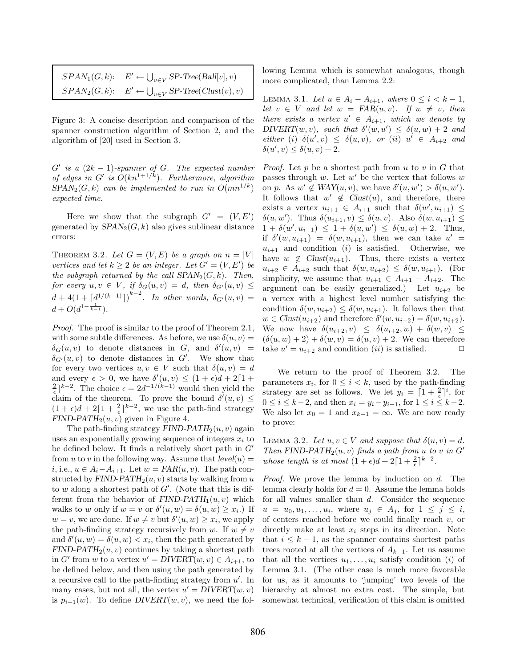| $SPAN_1(G, k): E' \leftarrow \bigcup_{v \in V} SP\text{-Tree}(Ball[v], v)$  |
|-----------------------------------------------------------------------------|
| $SPAN_2(G, k): E' \leftarrow \bigcup_{v \in V} SP\text{-Tree}(Clust(v), v)$ |

Figure 3: A concise description and comparison of the spanner construction algorithm of Section 2, and the algorithm of [20] used in Section 3.

 $G'$  is a  $(2k - 1)$ -spanner of  $G$ *. The expected number of edges in G' is*  $O(kn^{1+1/k})$ *. Furthermore, algorithm*  $SPAN<sub>2</sub>(G, k)$  *can be implemented to run in*  $O(mn^{1/k})$ *expected time.*

Here we show that the subgraph  $G' = (V, E')$ generated by  $SPAN<sub>2</sub>(G, k)$  also gives sublinear distance errors:

THEOREM 3.2. Let  $G = (V, E)$  be a graph on  $n = |V|$ *vertices and let*  $k \geq 2$  *be an integer. Let*  $G' = (V, E')$  *be the subgraph returned by the call*  $SPAN<sub>2</sub>(G, k)$ *. Then,*  $for\ every\ u, v \in V, \ if\ \delta_G(u,v) = d, \ then\ \delta_{G'}(u,v) \leq$  $d + 4(1 + \lceil d^{1/(k-1)} \rceil)^{k-2}$ . In other words,  $\delta_{G'}(u, v) =$  $d + O(d^{1-\frac{1}{k-1}}).$ 

*Proof.* The proof is similar to the proof of Theorem 2.1, with some subtle differences. As before, we use  $\delta(u, v) =$  $\delta_G(u, v)$  to denote distances in G, and  $\delta'(u, v)$  =  $\delta_{G'}(u,v)$  to denote distances in  $G'$ . We show that for every two vertices  $u, v \in V$  such that  $\delta(u, v) = d$ and every  $\epsilon > 0$ , we have  $\delta'(u, v) \leq (1 + \epsilon)d + 2[1 +$  $\frac{2}{\epsilon}$ <sup>2</sup> The choice  $\epsilon = 2d^{-1/(k-1)}$  would then yield the claim of the theorem. To prove the bound  $\delta'(u, v) \leq$  $(1 + \epsilon)d + 2\lceil 1 + \frac{2}{\epsilon} \rceil^{k-2}$ , we use the path-find strategy *FIND-PATH*<sub>2</sub> $(u, v)$  given in Figure 4.

The path-finding strategy  $FIND-PATH<sub>2</sub>(u, v)$  again uses an exponentially growing sequence of integers  $x_i$  to be defined below. It finds a relatively short path in  $G'$ from u to v in the following way. Assume that  $level(u) =$ *i*, i.e.,  $u \in A_i - A_{i+1}$ . Let  $w = FAR(u, v)$ . The path constructed by  $FIND-PATH<sub>2</sub>(u, v)$  starts by walking from u to w along a shortest path of  $G'$ . (Note that this is different from the behavior of  $FIND-PATH_1(u, v)$  which walks to w only if  $w = v$  or  $\delta'(u, w) = \delta(u, w) \geq x_i$ .) If  $w = v$ , we are done. If  $w \neq v$  but  $\delta'(u, w) \geq x_i$ , we apply the path-finding strategy recursively from w. If  $w \neq v$ and  $\delta'(u, w) = \delta(u, w) < x_i$ , then the path generated by  $FIND-PATH<sub>2</sub>(u, v)$  continues by taking a shortest path in G' from w to a vertex  $u' = DIVERT(w, v) \in A_{i+1}$ , to be defined below, and then using the path generated by a recursive call to the path-finding strategy from  $u'$ . In many cases, but not all, the vertex  $u' = DIVERT(w, v)$ is  $p_{i+1}(w)$ . To define  $DIVERT(w, v)$ , we need the following Lemma which is somewhat analogous, though more complicated, than Lemma 2.2:

LEMMA 3.1. *Let*  $u \in A_i - A_{i+1}$ *, where*  $0 \le i < k - 1$ *, let*  $v \in V$  *and let*  $w = FAR(u, v)$ *. If*  $w \neq v$ *, then there exists a vertex*  $u' \in A_{i+1}$ *, which we denote by*  $DIVERT(w, v)$ *, such that*  $\delta'(w, u') \leq \delta(u, w) + 2$  *and*  $\text{either } (i) \ \delta(u', v) \leq \delta(u, v), \text{ or } (ii) \ u' \in A_{i+2} \text{ and }$ <br> $\delta(u', v) \leq \delta(u, v) + 2$  $\delta(u', v) \leq \delta(u, v) + 2.$ 

*Proof.* Let  $p$  be a shortest path from  $u$  to  $v$  in  $G$  that passes through  $w$ . Let  $w'$  be the vertex that follows  $w$ on p. As  $w' \notin \text{WAY}(u, v)$ , we have  $\delta'(u, w') > \delta(u, w')$ . It follows that  $w' \notin Clust(u)$ , and therefore, there exists a vertex  $u_{i+1} \in A_{i+1}$  such that  $\delta(w', u_{i+1}) \leq$  $\delta(u, w')$ . Thus  $\delta(u_{i+1}, v) \leq \delta(u, v)$ . Also  $\delta(w, u_{i+1}) \leq$  $1 + \delta(w', u_{i+1}) \leq 1 + \delta(u, w') \leq \delta(u, w) + 2$ . Thus, if  $\delta'(w, u_{i+1}) = \delta(w, u_{i+1}),$  then we can take  $u' =$  $u_{i+1}$  and condition (i) is satisfied. Otherwise, we have  $w \notin Clust(u_{i+1})$ . Thus, there exists a vertex  $u_{i+2} \in A_{i+2}$  such that  $\delta(w, u_{i+2}) \leq \delta(w, u_{i+1})$ . (For simplicity, we assume that  $u_{i+1} \in A_{i+1} - A_{i+2}$ . The argument can be easily generalized.) Let  $u_{i+2}$  be a vertex with a highest level number satisfying the condition  $\delta(w, u_{i+2}) \leq \delta(w, u_{i+1})$ . It follows then that  $w \in Clust(u_{i+2})$  and therefore  $\delta'(w, u_{i+2}) = \delta(w, u_{i+2})$ .<br>We now have  $\delta(w, w) \leq \delta(w, w) + \delta(w, w)$ . We now have  $\delta(u_{i+2}, v) \leq \delta(u_{i+2}, w) + \delta(w, v) \leq$  $(\delta(u, w) + 2) + \delta(w, v) = \delta(u, v) + 2$ . We can therefore take  $u' = u_{i+2}$  and condition  $(ii)$  is satisfied.  $\Box$ 

We return to the proof of Theorem 3.2. The parameters  $x_i$ , for  $0 \leq i \leq k$ , used by the path-finding strategy are set as follows. We let  $y_i = \lceil 1 + \frac{2}{\epsilon} \rceil^i$ , for  $0 \le i \le k-2$ , and then  $x_i = y_i - y_{i-1}$ , for  $1 \le i \le k-2$ . We also let  $x_0 = 1$  and  $x_{k-1} = \infty$ . We are now ready to prove:

LEMMA 3.2. Let  $u, v \in V$  and suppose that  $\delta(u, v) = d$ . *Then* **FIND-PATH**<sub>2</sub>(u, v) *finds a path from u to v in G*<sup>-</sup> *whose length is at most*  $(1 + \epsilon)d + 2\lceil 1 + \frac{2}{\epsilon} \rceil^{k-2}$ .

*Proof.* We prove the lemma by induction on d. The lemma clearly holds for  $d = 0$ . Assume the lemma holds for all values smaller than d. Consider the sequence  $u = u_0, u_1, \ldots, u_i$ , where  $u_i \in A_i$ , for  $1 \leq i \leq i$ , of centers reached before we could finally reach  $v$ , or directly make at least  $x_i$  steps in its direction. Note that  $i \leq k - 1$ , as the spanner contains shortest paths trees rooted at all the vertices of  $A_{k-1}$ . Let us assume that all the vertices  $u_1, \ldots, u_i$  satisfy condition (i) of Lemma 3.1. (The other case is much more favorable for us, as it amounts to 'jumping' two levels of the hierarchy at almost no extra cost. The simple, but somewhat technical, verification of this claim is omitted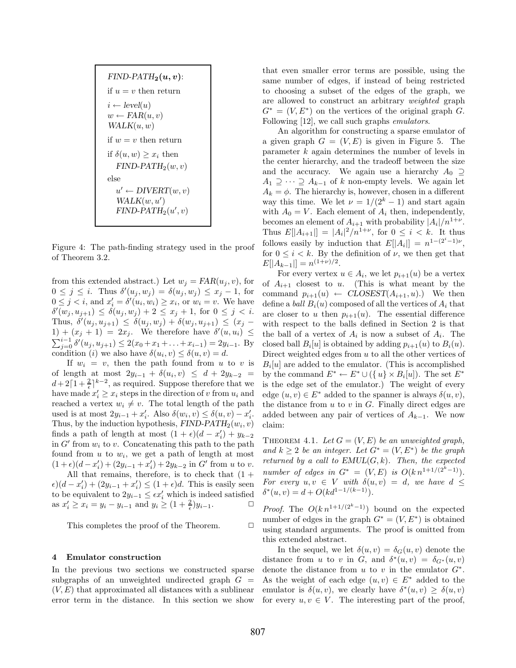*FIND-PATH*<sub>2</sub> $(u, v)$ : if  $u = v$  then return  $i \leftarrow level(u)$  $w \leftarrow FAR(u, v)$  $WALK(u, w)$ if  $w = v$  then return if  $\delta(u, w) \geq x_i$  then  $FIND-PATH<sub>2</sub>(w, v)$ else  $u' \leftarrow DIVERT(w, v)$  $WALK(w, u')$  $FIND-PATH<sub>2</sub>(u', v)$ 

Figure 4: The path-finding strategy used in the proof of Theorem 3.2.

from this extended abstract.) Let  $w_j = FAR(u_j, v)$ , for  $0 \leq j \leq i$ . Thus  $\delta'(u_j, w_j) = \delta(u_j, w_j) \leq x_j - 1$ , for  $0 \leq j < i$ , and  $x'_i = \delta'(u_i, w_i) \geq x_i$ , or  $w_i = v$ . We have  $\delta'(w_j, u_{j+1}) \leq \delta(u_j, w_j) + 2 \leq x_j + 1$ , for  $0 \leq j < i$ .<br>Thus,  $\delta'(w_j, w_j) \leq \delta(w_j, w_j) + \delta(w_j, w_j) \leq (x_j - y_j)$ Thus,  $\delta'(u_j, u_{j+1}) \leq \delta(u_j, w_j) + \delta(w_j, u_{j+1}) \leq (x_j - 1) + (x_{j+1}) - 2x$ . We therefore here  $\delta'(u, u) \leq$  $1) + (x_j + 1) = 2x_j$ . We therefore have  $\delta'(u, u_i) \leq$  $\sum_{j=0}^{i-1} \delta'(u_j, u_{j+1}) \leq 2(x_0 + x_1 + \ldots + x_{i-1}) = 2y_{i-1}$ . By<br>condition (i) we also have  $\delta(u, v) \leq \delta(u, v) - d$ condition (i) we also have  $\delta(u_i, v) \leq \delta(u, v) = d$ .

If  $w_i = v$ , then the path found from u to v is of length at most  $2y_{i-1} + \delta(u_i, v) ≤ d + 2y_{k-2}$  $d+2\lceil 1+\frac{2}{\epsilon}\rceil^{k-2}$ , as required. Suppose therefore that we have made  $x'_i \geq x_i$  steps in the direction of v from  $u_i$  and reached a vertex  $w_i \neq v$ . The total length of the path used is at most  $2y_{i-1} + x'_i$ . Also  $\delta(w_i, v) \leq \delta(u, v) - x'_i$ .<br>Thus by the induction by athesis EIND PATH  $(w, v)$ . Thus, by the induction hypothesis,  $FIND-PATH_{2}(w_{i}, v)$ finds a path of length at most  $(1 + \epsilon)(d - x'_i) + y_{k-2}$ <br>in C' from  $\omega$  to  $\omega$  Concertencting this path to the path in  $G'$  from  $w_i$  to v. Concatenating this path to the path found from  $u$  to  $w_i$ , we get a path of length at most  $(1+\epsilon)(d-x'_i) + (2y_{i-1}+x'_i) + 2y_{k-2}$  in G' from u to v. All that remains, therefore, is to check that  $(1 +$ 

 $\epsilon$ )(d - x'<sub>i</sub>) + (2y<sub>i-1</sub> + x'<sub>i</sub>) ≤ (1 +  $\epsilon$ )d. This is easily seen to be equivalent to  $2y_{i-1} \leq \epsilon x'_i$  which is indeed satisfied as  $x'_i \ge x_i = y_i - y_{i-1}$  and  $y_i \ge (1 + \frac{2}{\epsilon})y_{i-1}$ . □

This completes the proof of the Theorem.  $\Box$ 

#### **4 Emulator construction**

In the previous two sections we constructed sparse subgraphs of an unweighted undirected graph  $G =$  $(V, E)$  that approximated all distances with a sublinear error term in the distance. In this section we show

that even smaller error terms are possible, using the same number of edges, if instead of being restricted to choosing a subset of the edges of the graph, we are allowed to construct an arbitrary *weighted* graph  $G^* = (V, E^*)$  on the vertices of the original graph G. Following [12], we call such graphs *emulators*.

An algorithm for constructing a sparse emulator of a given graph  $G = (V, E)$  is given in Figure 5. The parameter k again determines the number of levels in the center hierarchy, and the tradeoff between the size and the accuracy. We again use a hierarchy  $A_0 \supseteq$  $A_1 \supseteq \cdots \supseteq A_{k-1}$  of k non-empty levels. We again let  $A_k = \phi$ . The hierarchy is, however, chosen in a different way this time. We let  $\nu = 1/(2^k - 1)$  and start again with  $A_0 = V$ . Each element of  $A_i$  then, independently, becomes an element of  $A_{i+1}$  with probability  $|A_i|/n^{1+\nu}$ . Thus  $E[|A_{i+1}|] = |A_i|^2/n^{1+\nu}$ , for  $0 \le i \le k$ . It thus follows easily by induction that  $E[|A_i|] = n^{1-(2^i-1)\nu}$ , for  $0 \leq i \leq k$ . By the definition of  $\nu$ , we then get that  $E[|A_{k-1}|] = n^{(1+\nu)/2}.$ 

For every vertex  $u \in A_i$ , we let  $p_{i+1}(u)$  be a vertex of  $A_{i+1}$  closest to u. (This is what meant by the command  $p_{i+1}(u) \leftarrow \text{CLOSEST}(A_{i+1}, u)$ .) We then define a *ball*  $B_i(u)$  composed of all the vertices of  $A_i$  that are closer to u then  $p_{i+1}(u)$ . The essential difference with respect to the balls defined in Section 2 is that the ball of a vertex of  $A_i$  is now a subset of  $A_i$ . The closed ball  $B_i[u]$  is obtained by adding  $p_{i+1}(u)$  to  $B_i(u)$ . Direct weighted edges from u to all the other vertices of  $B_i[u]$  are added to the emulator. (This is accomplished by the command  $E^* \leftarrow E^* \cup (\{u\} \times B_i[u])$ . The set  $E^*$ is the edge set of the emulator.) The weight of every edge  $(u, v) \in E^*$  added to the spanner is always  $\delta(u, v)$ , the distance from  $u$  to  $v$  in  $G$ . Finally direct edges are added between any pair of vertices of  $A_{k-1}$ . We now claim:

THEOREM 4.1. Let  $G = (V, E)$  be an unweighted graph, *and*  $k \geq 2$  *be an integer. Let*  $G^* = (V, E^*)$  *be the graph returned by a call to*  $EMUL(G, k)$ *. Then, the expected number of edges in*  $G^* = (V, E)$  *is*  $O(k n^{1+1/(2^k-1)})$ . *For every*  $u, v \in V$  *with*  $\delta(u, v) = d$ *, we have*  $d \leq$  $\delta^*(u, v) = d + O(kd^{1-1/(k-1)})$ .

*Proof.* The  $O(k n^{1+1/(2^{k}-1)})$  bound on the expected number of edges in the graph  $G^* = (V, E^*)$  is obtained using standard arguments. The proof is omitted from this extended abstract.

In the sequel, we let  $\delta(u, v) = \delta_G(u, v)$  denote the distance from u to v in G, and  $\delta^*(u, v) = \delta_{G^*}(u, v)$ denote the distance from u to v in the emulator  $G^*$ . As the weight of each edge  $(u, v) \in E^*$  added to the emulator is  $\delta(u, v)$ , we clearly have  $\delta^*(u, v) > \delta(u, v)$ for every  $u, v \in V$ . The interesting part of the proof,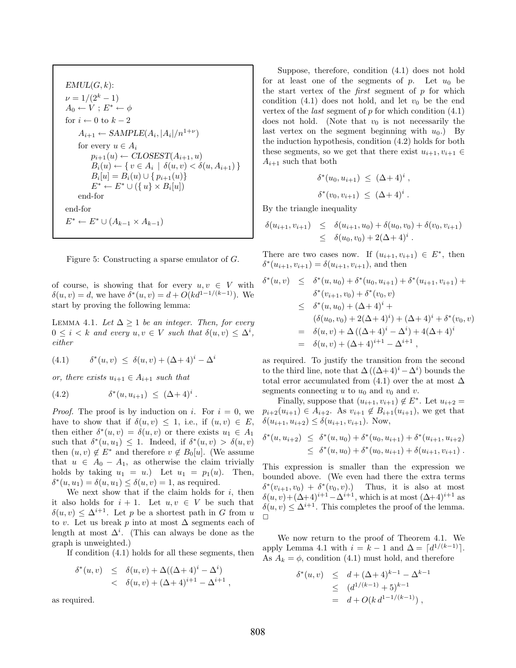$EMUL(G, k)$ :  $\nu = 1/(2^k - 1)$  $A_0 \leftarrow V$  ;  $E^* \leftarrow \phi$ for  $i \leftarrow 0$  to  $k - 2$  $A_{i+1} \leftarrow SAMPLE(A_i, |A_i|/n^{1+\nu})$ for every  $u \in A_i$  $p_{i+1}(u) \leftarrow \text{CLOSEST}(A_{i+1}, u)$  $B_i(u) \leftarrow \{ v \in A_i \mid \delta(u, v) < \delta(u, A_{i+1}) \}$  $B_i[u] = B_i(u) \cup \{p_{i+1}(u)\}\$  $E^* \leftarrow E^* \cup (\{u\} \times B_i[u])$ end-for end-for  $E^* \leftarrow E^* \cup (A_{k-1} \times A_{k-1})$ 



of course, is showing that for every  $u, v \in V$  with  $\delta(u, v) = d$ , we have  $\delta^*(u, v) = d + O(kd^{1-1/(k-1)})$ . We start by proving the following lemma:

LEMMA 4.1. Let  $\Delta > 1$  be an integer. Then, for every  $0 \leq i \leq k$  and every  $u, v \in V$  such that  $\delta(u, v) \leq \Delta^i$ , *either*

(4.1) 
$$
\delta^*(u, v) \le \delta(u, v) + (\Delta + 4)^i - \Delta^i
$$

*or, there exists*  $u_{i+1} \in A_{i+1}$  *such that* 

(4.2) 
$$
\delta^*(u, u_{i+1}) \leq (\Delta + 4)^i.
$$

*Proof.* The proof is by induction on i. For  $i = 0$ , we have to show that if  $\delta(u, v) \leq 1$ , i.e., if  $(u, v) \in E$ , then either  $\delta^*(u, v) = \delta(u, v)$  or there exists  $u_1 \in A_1$ such that  $\delta^*(u, u_1) \leq 1$ . Indeed, if  $\delta^*(u, v) > \delta(u, v)$ then  $(u, v) \notin E^*$  and therefore  $v \notin B_0[u]$ . (We assume that  $u \in A_0 - A_1$ , as otherwise the claim trivially holds by taking  $u_1 = u$ . Let  $u_1 = p_1(u)$ . Then,  $\delta^*(u, u_1) = \delta(u, u_1) \leq \delta(u, v) = 1$ , as required.

We next show that if the claim holds for  $i$ , then it also holds for  $i + 1$ . Let  $u, v \in V$  be such that  $\delta(u, v) \leq \Delta^{i+1}$ . Let p be a shortest path in G from u to v. Let us break p into at most  $\Delta$  segments each of length at most  $\Delta^i$ . (This can always be done as the graph is unweighted.)

If condition (4.1) holds for all these segments, then

$$
\delta^*(u, v) \leq \delta(u, v) + \Delta((\Delta + 4)^i - \Delta^i) \n< \delta(u, v) + (\Delta + 4)^{i+1} - \Delta^{i+1} ,
$$

as required.

Suppose, therefore, condition (4.1) does not hold for at least one of the segments of  $p$ . Let  $u_0$  be the start vertex of the *first* segment of p for which condition  $(4.1)$  does not hold, and let  $v_0$  be the end vertex of the *last* segment of p for which condition (4.1) does not hold. (Note that  $v_0$  is not necessarily the last vertex on the segment beginning with  $u_0$ .) By the induction hypothesis, condition (4.2) holds for both these segments, so we get that there exist  $u_{i+1}, v_{i+1} \in$  $A_{i+1}$  such that both

$$
\delta^*(u_0, u_{i+1}) \leq (\Delta + 4)^i ,
$$
  

$$
\delta^*(v_0, v_{i+1}) \leq (\Delta + 4)^i .
$$

By the triangle inequality

$$
\delta(u_{i+1}, v_{i+1}) \leq \delta(u_{i+1}, u_0) + \delta(u_0, v_0) + \delta(v_0, v_{i+1})
$$
  
 
$$
\leq \delta(u_0, v_0) + 2(\Delta + 4)^i.
$$

There are two cases now. If  $(u_{i+1}, v_{i+1}) \in E^*$ , then  $\delta^*(u_{i+1}, v_{i+1}) = \delta(u_{i+1}, v_{i+1}),$  and then

$$
\delta^*(u, v) \leq \delta^*(u, u_0) + \delta^*(u_0, u_{i+1}) + \delta^*(u_{i+1}, v_{i+1}) +
$$
  
\n
$$
\delta^*(v_{i+1}, v_0) + \delta^*(v_0, v)
$$
  
\n
$$
\leq \delta^*(u, u_0) + (\Delta + 4)^i +
$$
  
\n
$$
(\delta(u_0, v_0) + 2(\Delta + 4)^i) + (\Delta + 4)^i + \delta^*(v_0, v)
$$
  
\n
$$
= \delta(u, v) + \Delta ((\Delta + 4)^i - \Delta^i) + 4(\Delta + 4)^i
$$
  
\n
$$
= \delta(u, v) + (\Delta + 4)^{i+1} - \Delta^{i+1},
$$

as required. To justify the transition from the second to the third line, note that  $\Delta((\Delta + 4)^i - \Delta^i)$  bounds the total error accumulated from  $(4.1)$  over the at most  $\Delta$ segments connecting u to  $u_0$  and  $v_0$  and v.

Finally, suppose that  $(u_{i+1}, v_{i+1}) \notin E^*$ . Let  $u_{i+2} =$  $p_{i+2}(u_{i+1}) \in A_{i+2}$ . As  $v_{i+1} \notin B_{i+1}(u_{i+1})$ , we get that  $\delta(u_{i+1}, u_{i+2}) \leq \delta(u_{i+1}, v_{i+1})$ . Now,

$$
\delta^*(u, u_{i+2}) \leq \delta^*(u, u_0) + \delta^*(u_0, u_{i+1}) + \delta^*(u_{i+1}, u_{i+2})
$$
  
 
$$
\leq \delta^*(u, u_0) + \delta^*(u_0, u_{i+1}) + \delta(u_{i+1}, v_{i+1}).
$$

This expression is smaller than the expression we bounded above. (We even had there the extra terms  $\delta^*(v_{i+1}, v_0) + \delta^*(v_0, v).$  Thus, it is also at most  $\delta(u, v) + (\Delta + 4)^{i+1} - \Delta^{i+1}$ , which is at most  $(\Delta + 4)^{i+1}$  as  $\delta(u, v) \leq \Delta^{i+1}$ . This completes the proof of the lemma.  $\Box$ 

We now return to the proof of Theorem 4.1. We apply Lemma 4.1 with  $i = k - 1$  and  $\Delta = \lceil d^{1/(k-1)} \rceil$ . As  $A_k = \phi$ , condition (4.1) must hold, and therefore

$$
\delta^*(u, v) \leq d + (\Delta + 4)^{k-1} - \Delta^{k-1}
$$
  
\n
$$
\leq (d^{1/(k-1)} + 5)^{k-1}
$$
  
\n
$$
= d + O(k d^{1-1/(k-1)}),
$$